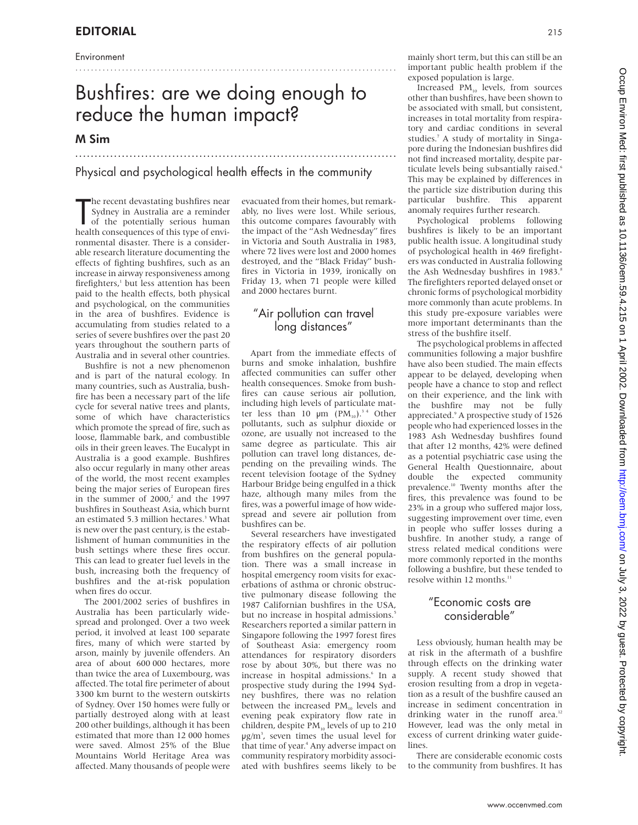#### Environment

# Bushfires: are we doing enough to reduce the human impact?

...................................................................................

## M Sim

## Physical and psychological health effects in the community

...................................................................................

The recent devastating bushfires near<br>Sydney in Australia are a reminder<br>of the potentially serious human<br>health consequences of this type of envihe recent devastating bushfires near Sydney in Australia are a reminder of the potentially serious human ronmental disaster. There is a considerable research literature documenting the effects of fighting bushfires, such as an increase in airway responsiveness among firefighters,<sup>1</sup> but less attention has been paid to the health effects, both physical and psychological, on the communities in the area of bushfires. Evidence is accumulating from studies related to a series of severe bushfires over the past 20 years throughout the southern parts of Australia and in several other countries.

Bushfire is not a new phenomenon and is part of the natural ecology. In many countries, such as Australia, bushfire has been a necessary part of the life cycle for several native trees and plants, some of which have characteristics which promote the spread of fire, such as loose, flammable bark, and combustible oils in their green leaves. The Eucalypt in Australia is a good example. Bushfires also occur regularly in many other areas of the world, the most recent examples being the major series of European fires in the summer of  $2000<sup>2</sup>$  and the 1997 bushfires in Southeast Asia, which burnt an estimated 5.3 million hectares.<sup>3</sup> What is new over the past century, is the establishment of human communities in the bush settings where these fires occur. This can lead to greater fuel levels in the bush, increasing both the frequency of bushfires and the at-risk population when fires do occur.

The 2001/2002 series of bushfires in Australia has been particularly widespread and prolonged. Over a two week period, it involved at least 100 separate fires, many of which were started by arson, mainly by juvenile offenders. An area of about 600 000 hectares, more than twice the area of Luxembourg, was affected. The total fire perimeter of about 3300 km burnt to the western outskirts of Sydney. Over 150 homes were fully or partially destroyed along with at least 200 other buildings, although it has been estimated that more than 12 000 homes were saved. Almost 25% of the Blue Mountains World Heritage Area was affected. Many thousands of people were

evacuated from their homes, but remarkably, no lives were lost. While serious, this outcome compares favourably with the impact of the "Ash Wednesday" fires in Victoria and South Australia in 1983, where 72 lives were lost and 2000 homes destroyed, and the "Black Friday" bushfires in Victoria in 1939, ironically on Friday 13, when 71 people were killed and 2000 hectares burnt.

#### "Air pollution can travel long distances"

Apart from the immediate effects of burns and smoke inhalation, bushfire affected communities can suffer other health consequences. Smoke from bushfires can cause serious air pollution, including high levels of particulate matter less than 10  $\mu$ m (PM<sub>10</sub>).<sup>34</sup> Other pollutants, such as sulphur dioxide or ozone, are usually not increased to the same degree as particulate. This air pollution can travel long distances, depending on the prevailing winds. The recent television footage of the Sydney Harbour Bridge being engulfed in a thick haze, although many miles from the fires, was a powerful image of how widespread and severe air pollution from bushfires can be.

Several researchers have investigated the respiratory effects of air pollution from bushfires on the general population. There was a small increase in hospital emergency room visits for exacerbations of asthma or chronic obstructive pulmonary disease following the 1987 Californian bushfires in the USA, but no increase in hospital admissions.<sup>5</sup> Researchers reported a similar pattern in Singapore following the 1997 forest fires of Southeast Asia: emergency room attendances for respiratory disorders rose by about 30%, but there was no increase in hospital admissions.<sup>6</sup> In a prospective study during the 1994 Sydney bushfires, there was no relation between the increased  $PM_{10}$  levels and evening peak expiratory flow rate in children, despite  $PM_{10}$  levels of up to 210 µg/m3 , seven times the usual level for that time of year.<sup>4</sup> Any adverse impact on community respiratory morbidity associated with bushfires seems likely to be

mainly short term, but this can still be an important public health problem if the exposed population is large.

Increased  $PM_{10}$  levels, from sources other than bushfires, have been shown to be associated with small, but consistent, increases in total mortality from respiratory and cardiac conditions in several studies.7 A study of mortality in Singapore during the Indonesian bushfires did not find increased mortality, despite particulate levels being subsantially raised.<sup>6</sup> This may be explained by differences in the particle size distribution during this particular bushfire. This apparent anomaly requires further research.

Psychological problems following bushfires is likely to be an important public health issue. A longitudinal study of psychological health in 469 firefighters was conducted in Australia following the Ash Wednesday bushfires in 1983.<sup>8</sup> The firefighters reported delayed onset or chronic forms of psychological morbidity more commonly than acute problems. In this study pre-exposure variables were more important determinants than the stress of the bushfire itself.

The psychological problems in affected communities following a major bushfire have also been studied. The main effects appear to be delayed, developing when people have a chance to stop and reflect on their experience, and the link with the bushfire may not be fully appreciated.<sup>9</sup> A prospective study of 1526 people who had experienced losses in the 1983 Ash Wednesday bushfires found that after 12 months, 42% were defined as a potential psychiatric case using the General Health Questionnaire, about double the expected community prevalence.10 Twenty months after the fires, this prevalence was found to be 23% in a group who suffered major loss, suggesting improvement over time, even in people who suffer losses during a bushfire. In another study, a range of stress related medical conditions were more commonly reported in the months following a bushfire, but these tended to resolve within 12 months.<sup>11</sup>

### "Economic costs are considerable"

Less obviously, human health may be at risk in the aftermath of a bushfire through effects on the drinking water supply. A recent study showed that erosion resulting from a drop in vegetation as a result of the bushfire caused an increase in sediment concentration in drinking water in the runoff area.<sup>12</sup> However, lead was the only metal in excess of current drinking water guidelines.

There are considerable economic costs to the community from bushfires. It has